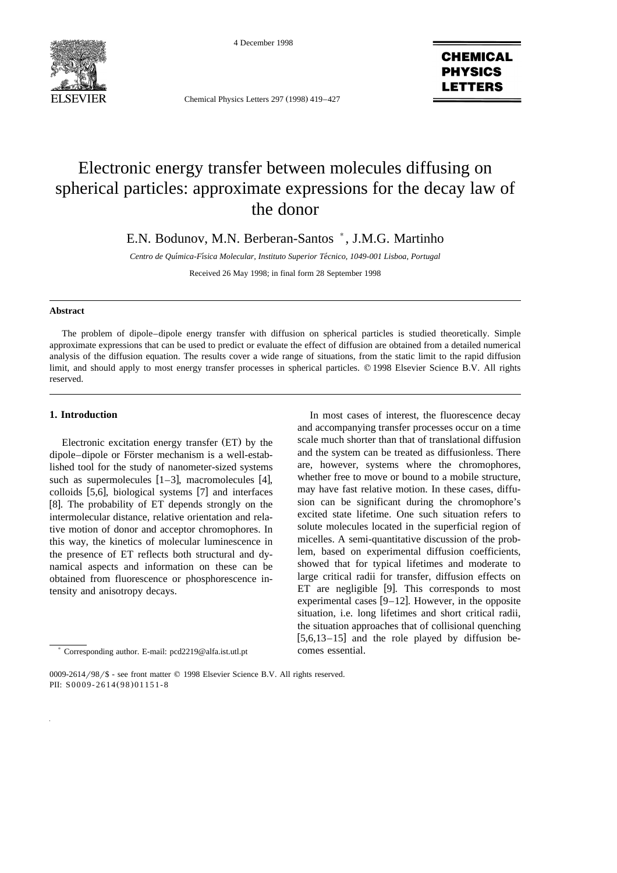



Chemical Physics Letters 297 (1998) 419-427

**CHEMICAL PHYSICS LETTERS** 

# Electronic energy transfer between molecules diffusing on spherical particles: approximate expressions for the decay law of the donor

E.N. Bodunov, M.N. Berberan-Santos \*, J.M.G. Martinho

*Centro de Quımica-Fısica Molecular, Instituto Superior Tecnico, 1049-001 Lisboa, Portugal* ´´ ´

Received 26 May 1998; in final form 28 September 1998

#### **Abstract**

The problem of dipole–dipole energy transfer with diffusion on spherical particles is studied theoretically. Simple approximate expressions that can be used to predict or evaluate the effect of diffusion are obtained from a detailed numerical analysis of the diffusion equation. The results cover a wide range of situations, from the static limit to the rapid diffusion limit, and should apply to most energy transfer processes in spherical particles. © 1998 Elsevier Science B.V. All rights reserved.

## **1. Introduction**

Electronic excitation energy transfer (ET) by the dipole–dipole or Förster mechanism is a well-established tool for the study of nanometer-sized systems such as supermolecules  $[1-3]$ , macromolecules  $[4]$ , colloids  $[5,6]$ , biological systems  $[7]$  and interfaces [8]. The probability of ET depends strongly on the intermolecular distance, relative orientation and relative motion of donor and acceptor chromophores. In this way, the kinetics of molecular luminescence in the presence of ET reflects both structural and dynamical aspects and information on these can be obtained from fluorescence or phosphorescence intensity and anisotropy decays.

In most cases of interest, the fluorescence decay and accompanying transfer processes occur on a time scale much shorter than that of translational diffusion and the system can be treated as diffusionless. There are, however, systems where the chromophores, whether free to move or bound to a mobile structure, may have fast relative motion. In these cases, diffusion can be significant during the chromophore's excited state lifetime. One such situation refers to solute molecules located in the superficial region of micelles. A semi-quantitative discussion of the problem, based on experimental diffusion coefficients, showed that for typical lifetimes and moderate to large critical radii for transfer, diffusion effects on ET are negligible  $[9]$ . This corresponds to most experimental cases  $[9-12]$ . However, in the opposite situation, i.e. long lifetimes and short critical radii, the situation approaches that of collisional quenching  $[5,6,13-15]$  and the role played by diffusion becomes essential.

<sup>)</sup> Corresponding author. E-mail: pcd2219@alfa.ist.utl.pt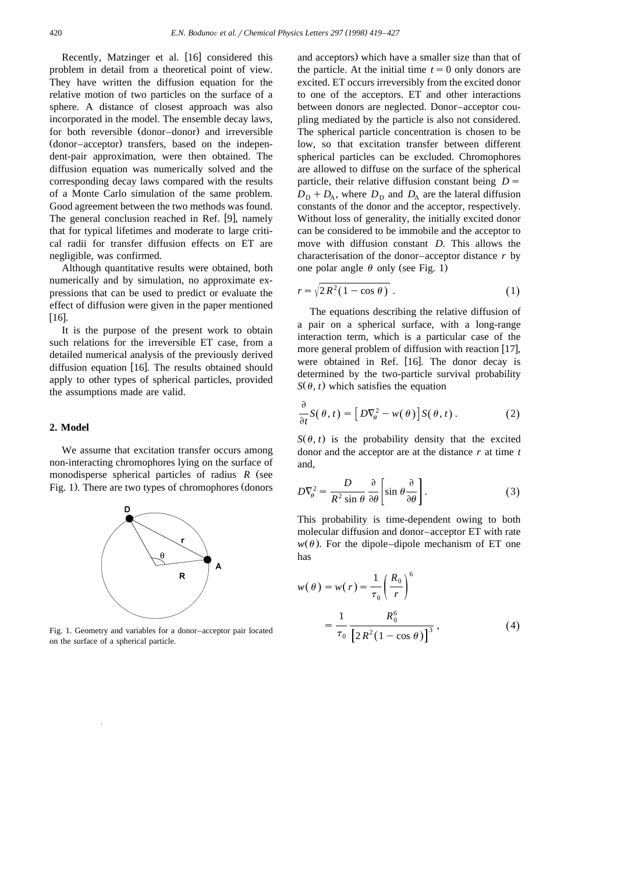Recently, Matzinger et al. [16] considered this problem in detail from a theoretical point of view. They have written the diffusion equation for the relative motion of two particles on the surface of a sphere. A distance of closest approach was also incorporated in the model. The ensemble decay laws, for both reversible (donor–donor) and irreversible (donor–acceptor) transfers, based on the independent-pair approximation, were then obtained. The diffusion equation was numerically solved and the corresponding decay laws compared with the results of a Monte Carlo simulation of the same problem. Good agreement between the two methods was found. The general conclusion reached in Ref. [9], namely that for typical lifetimes and moderate to large critical radii for transfer diffusion effects on ET are negligible, was confirmed.

Although quantitative results were obtained, both numerically and by simulation, no approximate expressions that can be used to predict or evaluate the effect of diffusion were given in the paper mentioned  $[16]$ .

It is the purpose of the present work to obtain such relations for the irreversible ET case, from a detailed numerical analysis of the previously derived diffusion equation  $[16]$ . The results obtained should apply to other types of spherical particles, provided the assumptions made are valid.

### **2. Model**

We assume that excitation transfer occurs among non-interacting chromophores lying on the surface of monodisperse spherical particles of radius  $R$  (see Fig. 1). There are two types of chromophores (donors



Fig. 1. Geometry and variables for a donor–acceptor pair located on the surface of a spherical particle.

and acceptors) which have a smaller size than that of the particle. At the initial time  $t = 0$  only donors are excited. ET occurs irreversibly from the excited donor to one of the acceptors. ET and other interactions between donors are neglected. Donor–acceptor coupling mediated by the particle is also not considered. The spherical particle concentration is chosen to be low, so that excitation transfer between different spherical particles can be excluded. Chromophores are allowed to diffuse on the surface of the spherical particle, their relative diffusion constant being  $D =$  $D_{\rm D} + D_{\rm A}$ , where  $D_{\rm D}$  and  $D_{\rm A}$  are the lateral diffusion constants of the donor and the acceptor, respectively. Without loss of generality, the initially excited donor can be considered to be immobile and the acceptor to move with diffusion constant *D*. This allows the characterisation of the donor–acceptor distance *r* by one polar angle  $\theta$  only (see Fig. 1)

$$
r = \sqrt{2R^2(1 - \cos \theta)}.
$$
 (1)

The equations describing the relative diffusion of a pair on a spherical surface, with a long-range interaction term, which is a particular case of the more general problem of diffusion with reaction  $[17]$ , were obtained in Ref.  $[16]$ . The donor decay is determined by the two-particle survival probability  $S(\theta, t)$  which satisfies the equation

$$
\frac{\partial}{\partial t}S(\theta, t) = [D\nabla_{\theta}^{2} - w(\theta)]S(\theta, t).
$$
 (2)

 $S(\theta, t)$  is the probability density that the excited donor and the acceptor are at the distance *r* at time *t* and,

$$
D\nabla_{\theta}^{2} = \frac{D}{R^{2} \sin \theta} \frac{\partial}{\partial \theta} \left[ \sin \theta \frac{\partial}{\partial \theta} \right].
$$
 (3)

This probability is time-dependent owing to both molecular diffusion and donor–acceptor ET with rate  $w(\theta)$ . For the dipole–dipole mechanism of ET one has

$$
w(\theta) = w(r) = \frac{1}{\tau_0} \left(\frac{R_0}{r}\right)^6
$$
  
= 
$$
\frac{1}{\tau_0} \frac{R_0^6}{\left[2R^2(1 - \cos \theta)\right]^3},
$$
 (4)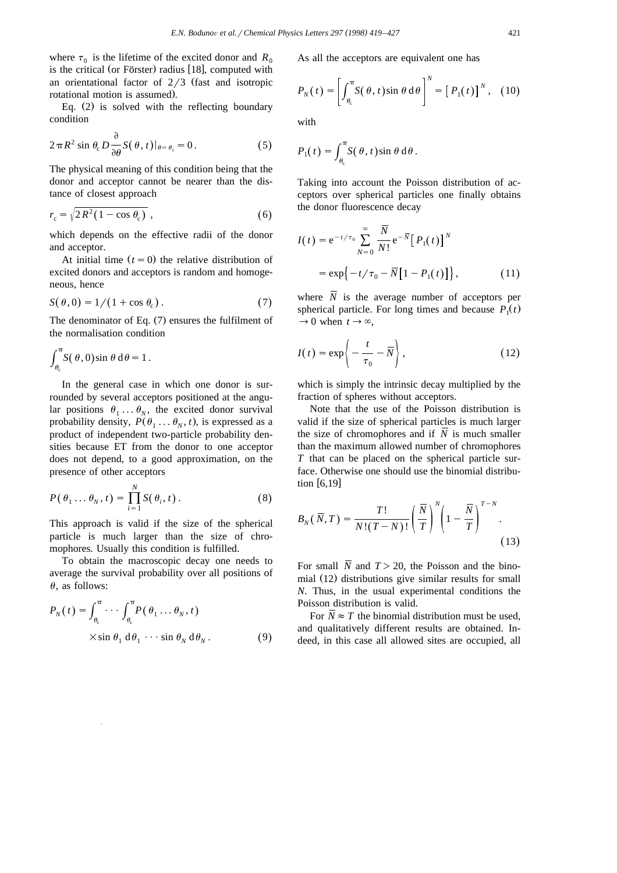where  $\tau_0$  is the lifetime of the excited donor and  $R_0$ is the critical (or Förster) radius [18], computed with an orientational factor of  $2/3$  (fast and isotropic rotational motion is assumed).

Eq.  $(2)$  is solved with the reflecting boundary condition

$$
2\pi R^2 \sin \theta_c D \frac{\partial}{\partial \theta} S(\theta, t)|_{\theta = \theta_c} = 0.
$$
 (5)

The physical meaning of this condition being that the donor and acceptor cannot be nearer than the distance of closest approach

$$
r_{\rm c} = \sqrt{2R^2(1 - \cos\theta_{\rm c})} \tag{6}
$$

which depends on the effective radii of the donor and acceptor.

At initial time  $(t = 0)$  the relative distribution of excited donors and acceptors is random and homogeneous, hence

$$
S(\theta,0) = 1/(1 + \cos \theta_c). \tag{7}
$$

The denominator of Eq.  $(7)$  ensures the fulfilment of the normalisation condition

$$
\int_{\theta_{\rm c}}^{\pi} S(\theta,0) \sin \theta \, d\theta = 1.
$$

In the general case in which one donor is surrounded by several acceptors positioned at the angular positions  $\theta_1 \ldots \theta_N$ , the excited donor survival probability density,  $P(\theta_1 \dots \theta_N, t)$ , is expressed as a product of independent two-particle probability densities because ET from the donor to one acceptor does not depend, to a good approximation, on the presence of other acceptors

$$
P(\theta_1 \dots \theta_N, t) = \prod_{i=1}^N S(\theta_i, t).
$$
 (8)

This approach is valid if the size of the spherical particle is much larger than the size of chromophores. Usually this condition is fulfilled.

To obtain the macroscopic decay one needs to average the survival probability over all positions of  $\theta$ , as follows:

$$
P_N(t) = \int_{\theta_c}^{\pi} \cdots \int_{\theta_c}^{\pi} P(\theta_1 \dots \theta_N, t)
$$
  
 
$$
\times \sin \theta_1 d\theta_1 \cdots \sin \theta_N d\theta_N.
$$
 (9)

As all the acceptors are equivalent one has

$$
P_N(t) = \left[ \int_{\theta_c}^{\pi} S(\theta, t) \sin \theta \, d\theta \right]^N = \left[ P_1(t) \right]^N, \quad (10)
$$

with

$$
P_1(t) = \int_{\theta_c}^{\pi} S(\theta, t) \sin \theta \, d\theta.
$$

Taking into account the Poisson distribution of acceptors over spherical particles one finally obtains the donor fluorescence decay

$$
I(t) = e^{-t/\tau_0} \sum_{N=0}^{\infty} \frac{\overline{N}}{N!} e^{-\overline{N}} [P_1(t)]^N
$$
  
=  $\exp\{-t/\tau_0 - \overline{N}[1 - P_1(t)]\},$  (11)

where  $\overline{N}$  is the average number of acceptors per spherical particle. For long times and because  $P_1(t)$  $\rightarrow$  0 when  $t \rightarrow \infty$ ,

$$
I(t) = \exp\left\{-\frac{t}{\tau_0} - \overline{N}\right\},\qquad(12)
$$

which is simply the intrinsic decay multiplied by the fraction of spheres without acceptors.

Note that the use of the Poisson distribution is valid if the size of spherical particles is much larger the size of chromophores and if *N* is much smaller than the maximum allowed number of chromophores *T* that can be placed on the spherical particle surface. Otherwise one should use the binomial distribution  $[6,19]$ 

$$
B_N(\overline{N},T) = \frac{T!}{N!(T-N)!} \left(\frac{\overline{N}}{T}\right)^N \left(1 - \frac{\overline{N}}{T}\right)^{T-N}.
$$
\n(13)

For small  $\overline{N}$  and  $T > 20$ , the Poisson and the binomial (12) distributions give similar results for small *N*. Thus, in the usual experimental conditions the Poisson distribution is valid.

For  $\overline{N} \approx T$  the binomial distribution must be used, and qualitatively different results are obtained. Indeed, in this case all allowed sites are occupied, all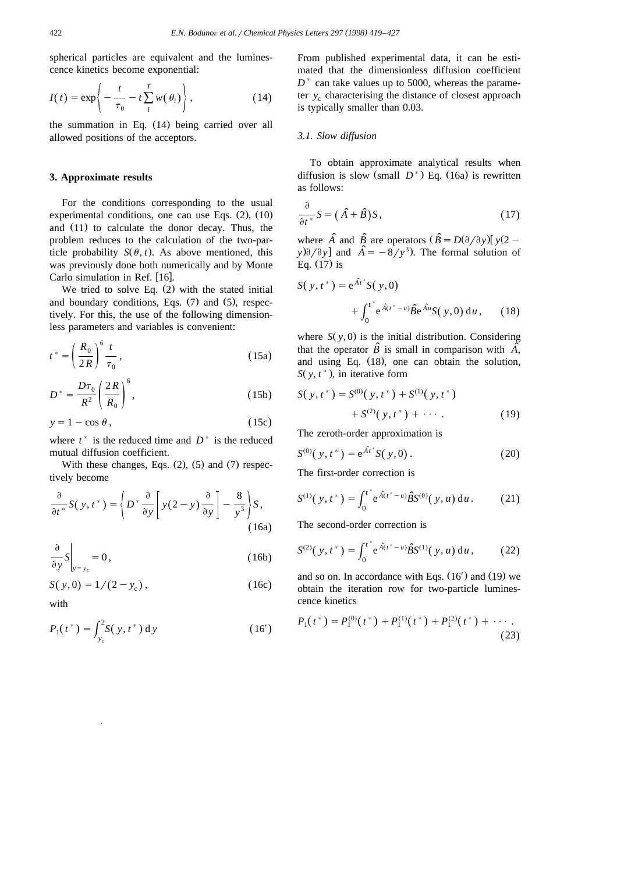spherical particles are equivalent and the luminescence kinetics become exponential:

$$
I(t) = \exp\left\{-\frac{t}{\tau_0} - t\sum_{i}^{T} w(\theta_i)\right\},
$$
 (14)

the summation in Eq.  $(14)$  being carried over all allowed positions of the acceptors.

#### **3. Approximate results**

For the conditions corresponding to the usual experimental conditions, one can use Eqs.  $(2)$ ,  $(10)$ and  $(11)$  to calculate the donor decay. Thus, the problem reduces to the calculation of the two-particle probability  $S(\theta, t)$ . As above mentioned, this was previously done both numerically and by Monte Carlo simulation in Ref. [16].

We tried to solve Eq.  $(2)$  with the stated initial and boundary conditions, Eqs.  $(7)$  and  $(5)$ , respectively. For this, the use of the following dimensionless parameters and variables is convenient:

$$
t^* = \left(\frac{R_0}{2R}\right)^6 \frac{t}{\tau_0},\tag{15a}
$$

$$
D^* = \frac{D\tau_0}{R^2} \left(\frac{2R}{R_0}\right)^6,\tag{15b}
$$

$$
y = 1 - \cos \theta, \tag{15c}
$$

where  $t^*$  is the reduced time and  $D^*$  is the reduced mutual diffusion coefficient.

With these changes, Eqs.  $(2)$ ,  $(5)$  and  $(7)$  respectively become

$$
\frac{\partial}{\partial t^*} S(y, t^*) = \left\{ D^* \frac{\partial}{\partial y} \left[ y(2 - y) \frac{\partial}{\partial y} \right] - \frac{8}{y^3} \right\} S,
$$
\n(16a)

$$
\frac{\partial}{\partial y}S\bigg|_{y=y_c} = 0\,,\tag{16b}
$$

$$
S(y,0) = 1/(2-y_c),
$$
 (16c)

with

$$
P_1(t^*) = \int_{y_c}^{2} S(y, t^*) \, dy \tag{16'}
$$

From published experimental data, it can be estimated that the dimensionless diffusion coefficient  $D^*$  can take values up to 5000, whereas the parameter  $y_c$  characterising the distance of closest approach is typically smaller than 0.03.

#### *3.1. Slow diffusion*

To obtain approximate analytical results when diffusion is slow (small  $D^*$ ) Eq. (16a) is rewritten as follows:

$$
\frac{\partial}{\partial t^*} S = (\hat{A} + \hat{B}) S, \qquad (17)
$$

where  $\hat{A}$  and  $\hat{B}$  are operators  $(\hat{B} = D(\partial/\partial y) [y(2$  $y\partial/\partial y$  and  $\hat{A} = -8/y^3$ . The formal solution of Eq.  $(17)$  is

$$
S(y, t^*) = e^{\hat{A}t^*} S(y, 0)
$$
  
+  $\int_0^{t^*} e^{\hat{A}(t^* - u)} \hat{B} e^{\hat{A}u} S(y, 0) du$ , (18)

where  $S(y, 0)$  is the initial distribution. Considering that the operator  $\hat{B}$  is small in comparison with  $\hat{A}$ , and using Eq.  $(18)$ , one can obtain the solution,  $S(y, t^*)$ , in iterative form

$$
S(y, t^*) = S^{(0)}(y, t^*) + S^{(1)}(y, t^*)
$$
  
+ 
$$
S^{(2)}(y, t^*) + \cdots
$$
 (19)

The zeroth-order approximation is

$$
S^{(0)}(y, t^*) = e^{\hat{A}t^*} S(y, 0).
$$
 (20)

The first-order correction is

$$
S^{(1)}(y, t^*) = \int_0^{t^*} e^{\hat{A}(t^* - u)} \hat{B} S^{(0)}(y, u) du.
$$
 (21)

The second-order correction is

$$
S^{(2)}(\,y,t^*) = \int_0^{t^*} e^{\hat{A}(t^* - u)} \hat{B} S^{(1)}(\,y,u) \, \mathrm{d}u \,, \tag{22}
$$

and so on. In accordance with Eqs.  $(16')$  and  $(19)$  we obtain the iteration row for two-particle luminescence kinetics

$$
P_1(t^*) = P_1^{(0)}(t^*) + P_1^{(1)}(t^*) + P_1^{(2)}(t^*) + \cdots
$$
\n(23)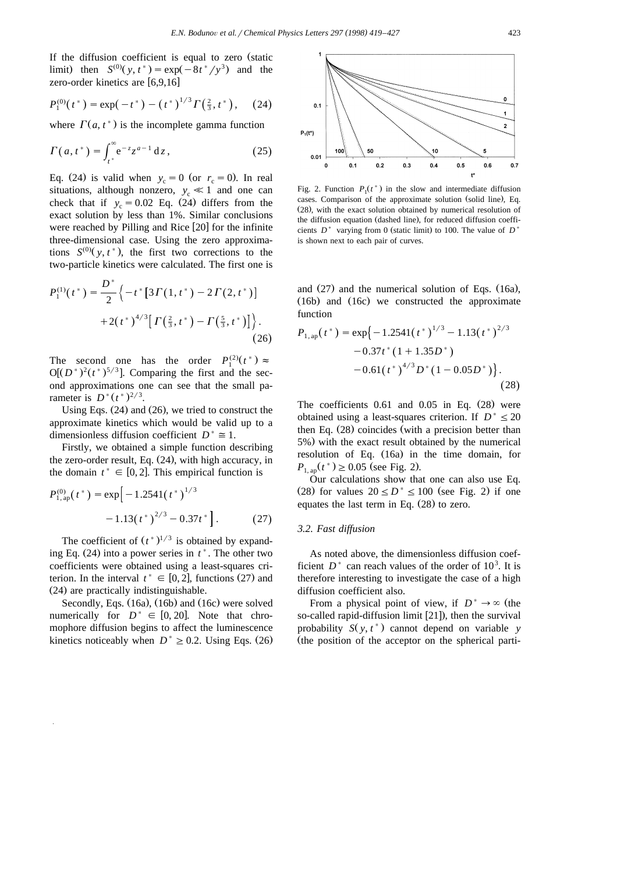If the diffusion coefficient is equal to zero (static limit) then  $S^{(0)}(y, t^*) = \exp(-8t^*/y^3)$  and the zero-order kinetics are  $[6,9,16]$ 

$$
P_1^{(0)}(t^*) = \exp(-t^*) - (t^*)^{1/3} \Gamma(\tfrac{2}{3}, t^*), \quad (24)
$$

where  $\Gamma(a, t^*)$  is the incomplete gamma function

$$
\Gamma(a, t^*) = \int_{t^*}^{\infty} e^{-z} z^{a-1} dz,
$$
\n(25)

Eq. (24) is valid when  $y_c = 0$  (or  $r_c = 0$ ). In real situations, although nonzero,  $y_c \ll 1$  and one can check that if  $y_c = 0.02$  Eq. (24) differs from the exact solution by less than 1%. Similar conclusions were reached by Pilling and Rice  $[20]$  for the infinite three-dimensional case. Using the zero approximations  $S^{(0)}(y, t^*)$ , the first two corrections to the two-particle kinetics were calculated. The first one is

$$
P_1^{(1)}(t^*) = \frac{D^*}{2} \left\{ -t^* \left[ 3\Gamma(1,t^*) - 2\Gamma(2,t^*) \right] + 2\left(t^*\right)^{4/3} \left[ \Gamma\left(\frac{2}{3},t^*\right) - \Gamma\left(\frac{5}{3},t^*\right) \right] \right\}.
$$
\n(26)

The second one has the order  $P_1^{(2)}(t^*) \approx$  $O[(D^*)^2 (t^*)^{5/3}]$ . Comparing the first and the second approximations one can see that the small pa rameter is  $D^*(t^*)^{2/3}$ .

Using Eqs.  $(24)$  and  $(26)$ , we tried to construct the approximate kinetics which would be valid up to a dimensionless diffusion coefficient  $D^* \cong 1$ .

Firstly, we obtained a simple function describing the zero-order result, Eq.  $(24)$ , with high accuracy, in the domain  $t^* \in [0, 2]$ . This empirical function is

$$
P_{1,\text{ap}}^{(0)}(t^*) = \exp\left[-1.2541(t^*)^{1/3}\right] -1.13(t^*)^{2/3} -0.37t^*\right].\tag{27}
$$

The coefficient of  $(t^*)^{1/3}$  is obtained by expanding Eq.  $(24)$  into a power series in  $t^*$ . The other two coefficients were obtained using a least-squares cri terion. In the interval  $t^* \in [0, 2]$ , functions (27) and (24) are practically indistinguishable.

Secondly, Eqs.  $(16a)$ ,  $(16b)$  and  $(16c)$  were solved numerically for  $D^* \in [0, 20]$ . Note that chromophore diffusion begins to affect the luminescence kinetics noticeably when  $D^* \geq 0.2$ . Using Eqs. (26)



Fig. 2. Function  $P_1(t^*)$  in the slow and intermediate diffusion cases. Comparison of the approximate solution (solid line), Eq. (28), with the exact solution obtained by numerical resolution of the diffusion equation (dashed line), for reduced diffusion coefficients  $D^*$  varying from 0 (static limit) to 100. The value of  $D^*$ is shown next to each pair of curves.

and  $(27)$  and the numerical solution of Eqs.  $(16a)$ ,  $(16b)$  and  $(16c)$  we constructed the approximate function

$$
P_{1,\text{ap}}(t^*) = \exp\{-1.2541(t^*)^{1/3} - 1.13(t^*)^{2/3} -0.37t^*(1+1.35D^*) -0.61(t^*)^{4/3}D^*(1-0.05D^*)\}.
$$
\n(28)

The coefficients  $0.61$  and  $0.05$  in Eq.  $(28)$  were obtained using a least-squares criterion. If  $D^* \leq 20$ then Eq.  $(28)$  coincides (with a precision better than 5%) with the exact result obtained by the numerical resolution of Eq.  $(16a)$  in the time domain, for  $P_{1 \text{ an}}(t^*) \ge 0.05$  (see Fig. 2).

Our calculations show that one can also use Eq. (28) for values  $20 \le D^* \le 100$  (see Fig. 2) if one equates the last term in Eq.  $(28)$  to zero.

#### *3.2. Fast diffusion*

As noted above, the dimensionless diffusion coefficient  $D^*$  can reach values of the order of  $10^3$ . It is therefore interesting to investigate the case of a high diffusion coefficient also.

From a physical point of view, if  $D^* \to \infty$  (the so-called rapid-diffusion limit  $[21]$ , then the survival probability  $S(y, t^*)$  cannot depend on variable *y* (the position of the acceptor on the spherical parti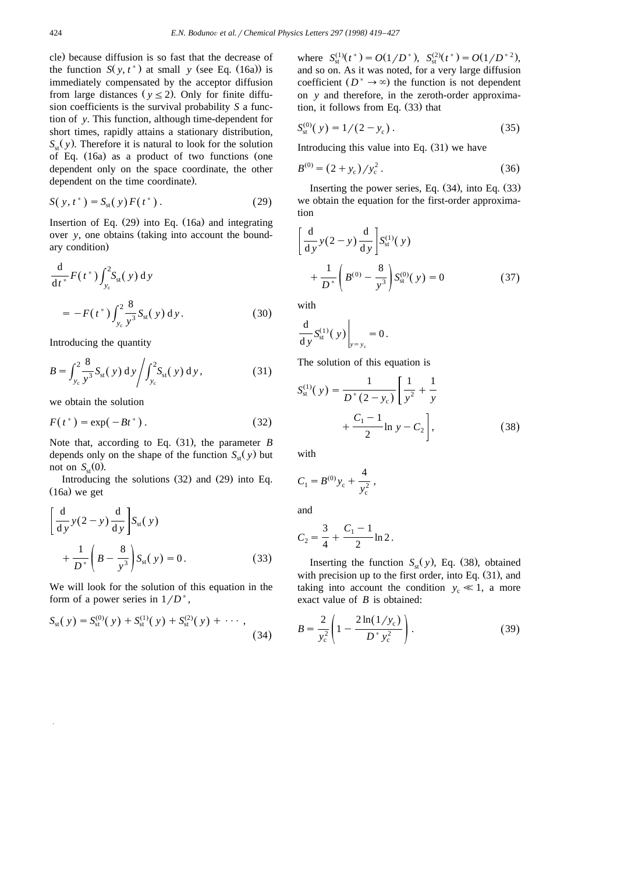cle) because diffusion is so fast that the decrease of the function  $S(y, t^*)$  at small *y* (see Eq. (16a)) is immediately compensated by the acceptor diffusion from large distances ( $y \le 2$ ). Only for finite diffusion coefficients is the survival probability *S* a function of *y*. This function, although time-dependent for short times, rapidly attains a stationary distribution,  $S_{\rm st}(y)$ . Therefore it is natural to look for the solution of Eq.  $(16a)$  as a product of two functions (one dependent only on the space coordinate, the other dependent on the time coordinate).

$$
S(y, t^*) = S_{st}(y) F(t^*).
$$
 (29)

Insertion of Eq.  $(29)$  into Eq.  $(16a)$  and integrating over *y*, one obtains (taking into account the boundary condition)

$$
\frac{d}{dt^*}F(t^*)\int_{y_c}^2 S_{st}(y) dy
$$
  
=  $-F(t^*)\int_{y_c}^2 \frac{8}{y^3} S_{st}(y) dy.$  (30)

Introducing the quantity

$$
B = \int_{y_c}^{2} \frac{8}{y^3} S_{\rm st}(y) \, dy \bigg/ \int_{y_c}^{2} S_{\rm st}(y) \, dy,
$$
 (31)

we obtain the solution

$$
F(t^*) = \exp(-Bt^*)\,. \tag{32}
$$

Note that, according to Eq.  $(31)$ , the parameter *B* depends only on the shape of the function  $S_{\rm st}(y)$  but not on  $S_{\rm st}(0)$ .

Introducing the solutions  $(32)$  and  $(29)$  into Eq.  $(16a)$  we get

$$
\left[\frac{d}{dy}y(2-y)\frac{d}{dy}\right]S_{st}(y)
$$

$$
+\frac{1}{D^*}\left(B-\frac{8}{y^3}\right)S_{st}(y)=0.
$$
(33)

We will look for the solution of this equation in the form of a power series in  $1/D^*$ ,

$$
S_{st}(y) = S_{st}^{(0)}(y) + S_{st}^{(1)}(y) + S_{st}^{(2)}(y) + \cdots,
$$
\n(34)

where  $S_{\rm st}^{(1)}(t^*) = O(1/D^*)$ ,  $S_{\rm st}^{(2)}(t^*) = O(1/D^{*2})$ , and so on. As it was noted, for a very large diffusion coefficient  $(D^* \to \infty)$  the function is not dependent on *y* and therefore, in the zeroth-order approximation, it follows from Eq.  $(33)$  that

$$
S_{\rm st}^{(0)}(\mathbf{y}) = 1/(2 - y_{\rm c}). \tag{35}
$$

Introducing this value into Eq.  $(31)$  we have

$$
B^{(0)} = (2 + y_c) / y_c^2.
$$
 (36)

Inserting the power series, Eq.  $(34)$ , into Eq.  $(33)$ we obtain the equation for the first-order approximation

$$
\left[\frac{d}{dy}y(2-y)\frac{d}{dy}\right]S_{st}^{(1)}(y) + \frac{1}{D^*}\left(B^{(0)} - \frac{8}{y^3}\right)S_{st}^{(0)}(y) = 0 \tag{37}
$$

with

$$
\left.\frac{\mathrm{d}}{\mathrm{d} y} S_{\mathrm{st}}^{(1)}(y)\right|_{y=y_{\mathrm{c}}} = 0.
$$

The solution of this equation is

$$
S_{\rm st}^{(1)}(y) = \frac{1}{D^*(2 - y_{\rm c})} \left[ \frac{1}{y^2} + \frac{1}{y} + \frac{C_1 - 1}{2} \ln y - C_2 \right],
$$
 (38)

with

$$
C_1 = B^{(0)} y_c + \frac{4}{y_c^2} ,
$$

and

$$
C_2 = \frac{3}{4} + \frac{C_1 - 1}{2} \ln 2.
$$

Inserting the function  $S_{st}(y)$ , Eq. (38), obtained with precision up to the first order, into Eq.  $(31)$ , and taking into account the condition  $y_c \ll 1$ , a more exact value of *B* is obtained:

$$
B = \frac{2}{y_c^2} \left( 1 - \frac{2 \ln(1/y_c)}{D^* y_c^2} \right).
$$
 (39)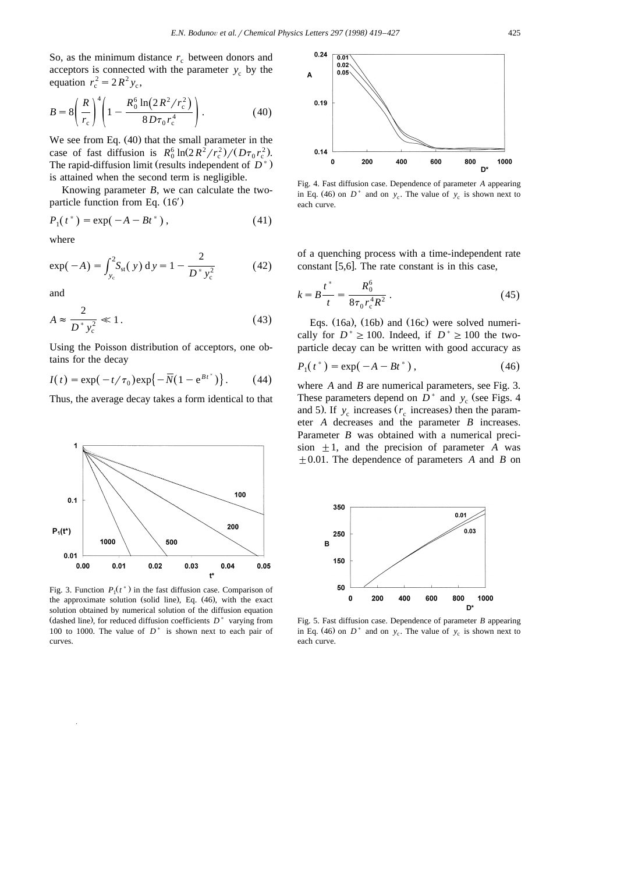So, as the minimum distance  $r_c$  between donors and acceptors is connected with the parameter  $y_c$  by the equation  $r_c^2 = 2R^2 y_c$ ,

$$
B = 8\left(\frac{R}{r_c}\right)^4 \left(1 - \frac{R_0^6 \ln(2R^2/r_c^2)}{8D\tau_0 r_c^4}\right). \tag{40}
$$

We see from Eq.  $(40)$  that the small parameter in the case of fast diffusion is  $R_0^6 \ln(2R^2/r_c^2)/(D\tau_0 r_c^2)$ . The rapid-diffusion limit (results independent of  $D^*$ ) is attained when the second term is negligible.

Knowing parameter *B*, we can calculate the twoparticle function from Eq.  $(16')$ 

$$
P_1(t^*) = \exp(-A - Bt^*), \qquad (41)
$$

where

$$
\exp(-A) = \int_{y_c}^{2} S_{\rm st}(y) \, dy = 1 - \frac{2}{D^* y_c^2} \tag{42}
$$

and

$$
A \approx \frac{2}{D^* y_c^2} \ll 1. \tag{43}
$$

Using the Poisson distribution of acceptors, one obtains for the decay

$$
I(t) = \exp(-t/\tau_0) \exp\{-\overline{N}(1-e^{Bt^*})\}.
$$
 (44)

Thus, the average decay takes a form identical to that



Fig. 3. Function  $P_1(t^*)$  in the fast diffusion case. Comparison of the approximate solution (solid line), Eq.  $(46)$ , with the exact solution obtained by numerical solution of the diffusion equation (dashed line), for reduced diffusion coefficients  $D^*$  varying from 100 to 1000. The value of  $D^*$  is shown next to each pair of curves.



Fig. 4. Fast diffusion case. Dependence of parameter *A* appearing in Eq. (46) on  $D^*$  and on  $y_c$ . The value of  $y_c$  is shown next to each curve.

of a quenching process with a time-independent rate constant  $[5,6]$ . The rate constant is in this case,

$$
k = B \frac{t^*}{t} = \frac{R_0^6}{8\tau_0 r_c^4 R^2} \,. \tag{45}
$$

Eqs.  $(16a)$ ,  $(16b)$  and  $(16c)$  were solved numerically for  $D^* \ge 100$ . Indeed, if  $D^* \ge 100$  the twoparticle decay can be written with good accuracy as

$$
P_1(t^*) = \exp(-A - Bt^*)\,,\tag{46}
$$

where *A* and *B* are numerical parameters, see Fig. 3. These parameters depend on  $D^*$  and  $y_c$  (see Figs. 4) and 5). If  $y_c$  increases  $(r_c$  increases) then the parameter *A* decreases and the parameter *B* increases. Parameter *B* was obtained with a numerical precision  $\pm 1$ , and the precision of parameter *A* was  $\pm 0.01$ . The dependence of parameters *A* and *B* on



Fig. 5. Fast diffusion case. Dependence of parameter *B* appearing in Eq. (46) on  $D^*$  and on  $y_c$ . The value of  $y_c$  is shown next to each curve.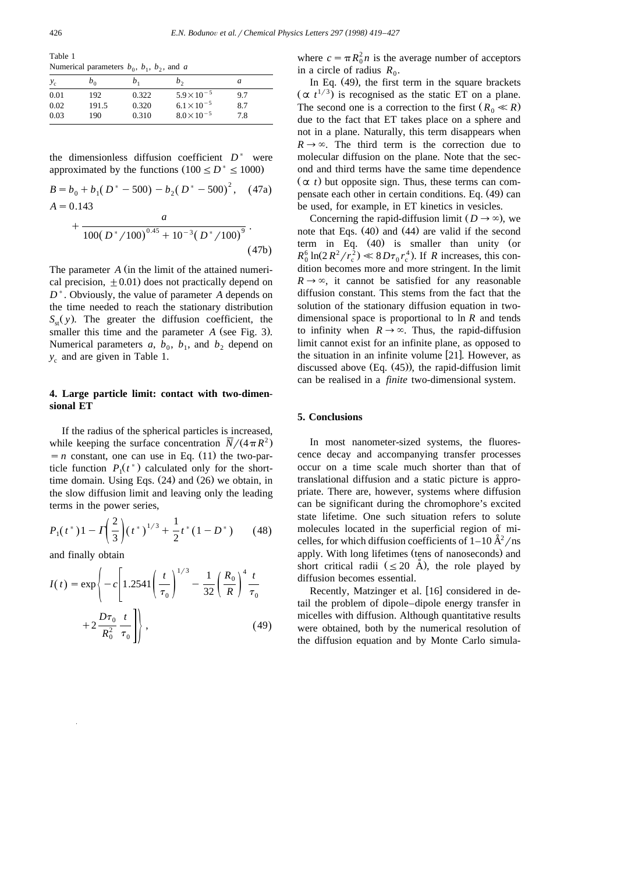Table 1 Numerical parameters  $b_0$ ,  $b_1$ ,  $b_2$ , and *a* 

| $y_c$ | $b_0$ | $\mathfrak{b}_1$ | $b_{\gamma}$         | a   |
|-------|-------|------------------|----------------------|-----|
| 0.01  | 192   | 0.322            | $5.9 \times 10^{-5}$ | 9.7 |
| 0.02  | 191.5 | 0.320            | $6.1 \times 10^{-5}$ | 8.7 |
| 0.03  | 190   | 0.310            | $8.0 \times 10^{-5}$ | 7.8 |

the dimensionless diffusion coefficient  $D^*$  were approximated by the functions  $(100 \le D^* \le 1000)$ 

$$
B = b_0 + b_1 (D^* - 500) - b_2 (D^* - 500)^2, \quad (47a)
$$
  

$$
A = 0.143
$$

$$
+\frac{a}{100(D^*/100)^{0.45}+10^{-3}(D^*/100)^9}.
$$
\n(47b)

The parameter *A* (in the limit of the attained numerical precision,  $\pm 0.01$ ) does not practically depend on *D*). Obviously, the value of parameter *A* depends on the time needed to reach the stationary distribution  $S_{\rm st}(y)$ . The greater the diffusion coefficient, the smaller this time and the parameter *A* (see Fig. 3). Numerical parameters  $a, b_0, b_1,$  and  $b_2$  depend on  $y_c$  and are given in Table 1.

## **4. Large particle limit: contact with two-dimensional ET**

If the radius of the spherical particles is increased, while keeping the surface concentration  $N/(4\pi R^2)$  $n = n$  constant, one can use in Eq. (11) the two-particle function  $P_1(t^*)$  calculated only for the shorttime domain. Using Eqs.  $(24)$  and  $(26)$  we obtain, in the slow diffusion limit and leaving only the leading terms in the power series,

$$
P_1(t^*)1 - \Gamma\left(\frac{2}{3}\right)(t^*)^{1/3} + \frac{1}{2}t^*(1 - D^*)\tag{48}
$$

and finally obtain

$$
I(t) = \exp\left\{-c\left[1.2541\left(\frac{t}{\tau_0}\right)^{1/3} - \frac{1}{32}\left(\frac{R_0}{R}\right)^4 \frac{t}{\tau_0} + 2\frac{D\tau_0}{R_0^2} \frac{t}{\tau_0}\right]\right\},
$$
\n(49)

where  $c = \pi R_0^2 n$  is the average number of acceptors in a circle of radius  $R_0$ .

In Eq.  $(49)$ , the first term in the square brackets  $(\alpha t^{1/3})$  is recognised as the static ET on a plane. The second one is a correction to the first  $(R_0 \ll R)$ due to the fact that ET takes place on a sphere and not in a plane. Naturally, this term disappears when  $R \rightarrow \infty$ . The third term is the correction due to molecular diffusion on the plane. Note that the second and third terms have the same time dependence  $(\alpha t)$  but opposite sign. Thus, these terms can compensate each other in certain conditions. Eq. (49) can be used, for example, in ET kinetics in vesicles.

Concerning the rapid-diffusion limit  $(D \rightarrow \infty)$ , we note that Eqs.  $(40)$  and  $(44)$  are valid if the second term in Eq.  $(40)$  is smaller than unity (or  $R_0^6 \ln(2R^2/r_c^2) \ll 8D\tau_0 r_c^4$ ). If *R* increases, this condition becomes more and more stringent. In the limit  $R \rightarrow \infty$ , it cannot be satisfied for any reasonable diffusion constant. This stems from the fact that the solution of the stationary diffusion equation in twodimensional space is proportional to ln *R* and tends to infinity when  $R \to \infty$ . Thus, the rapid-diffusion limit cannot exist for an infinite plane, as opposed to the situation in an infinite volume  $[21]$ . However, as discussed above  $(Eq. (45))$ , the rapid-diffusion limit can be realised in a *finite* two-dimensional system.

#### **5. Conclusions**

In most nanometer-sized systems, the fluorescence decay and accompanying transfer processes occur on a time scale much shorter than that of translational diffusion and a static picture is appropriate. There are, however, systems where diffusion can be significant during the chromophore's excited state lifetime. One such situation refers to solute molecules located in the superficial region of mi celles, for which diffusion coefficients of  $1-10 \text{ Å}^2/\text{ns}$ apply. With long lifetimes (tens of nanoseconds) and short critical radii  $(\leq 20 \text{ Å})$ , the role played by diffusion becomes essential.

Recently, Matzinger et al. [16] considered in detail the problem of dipole–dipole energy transfer in micelles with diffusion. Although quantitative results were obtained, both by the numerical resolution of the diffusion equation and by Monte Carlo simula